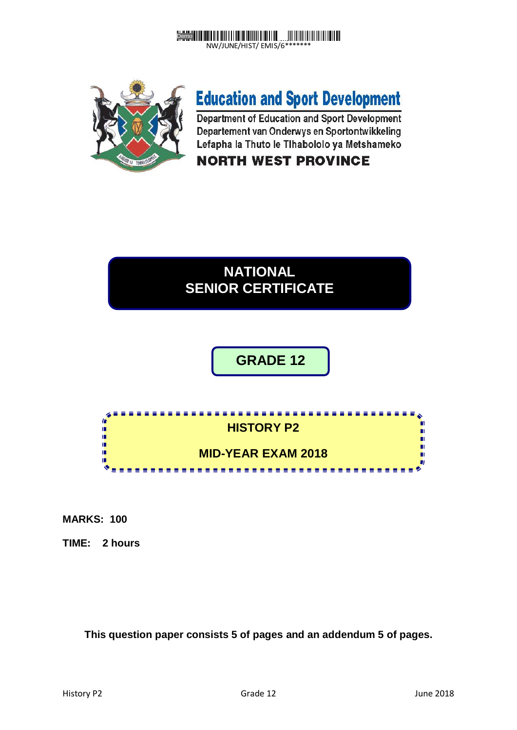



# **Education and Sport Development**

Department of Education and Sport Development Departement van Onderwys en Sportontwikkeling Lefapha la Thuto le Tihabololo ya Metshameko

# **NORTH WEST PROVINCE**

# **NATIONAL SENIOR CERTIFICATE**

# **GRADE 12**



**MARKS: 100**

**TIME: 2 hours**

**This question paper consists 5 of pages and an addendum 5 of pages.**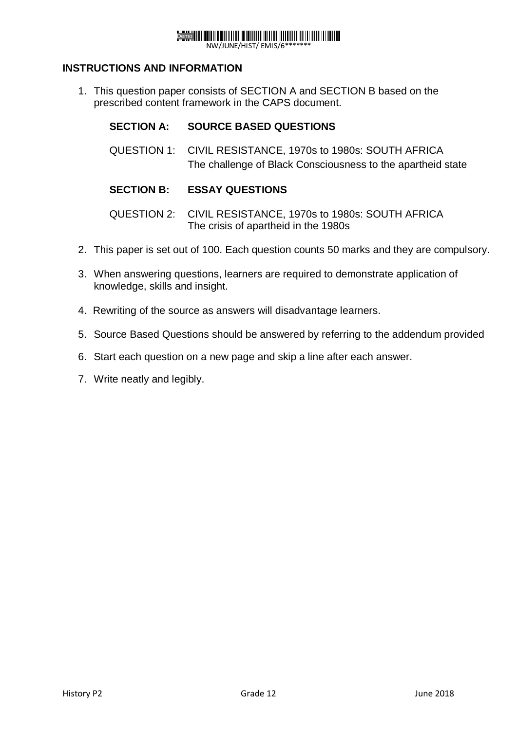# Demo

NW/JUNE/HIST/ EMIS/6\*

#### **INSTRUCTIONS AND INFORMATION**

1. This question paper consists of SECTION A and SECTION B based on the prescribed content framework in the CAPS document.

#### **SECTION A: SOURCE BASED QUESTIONS**

QUESTION 1: CIVIL RESISTANCE, 1970s to 1980s: SOUTH AFRICA The challenge of Black Consciousness to the apartheid state

#### **SECTION B: ESSAY QUESTIONS**

QUESTION 2: CIVIL RESISTANCE, 1970s to 1980s: SOUTH AFRICA The crisis of apartheid in the 1980s

- 2. This paper is set out of 100. Each question counts 50 marks and they are compulsory.
- 3. When answering questions, learners are required to demonstrate application of knowledge, skills and insight.
- 4. Rewriting of the source as answers will disadvantage learners.
- 5. Source Based Questions should be answered by referring to the addendum provided
- 6. Start each question on a new page and skip a line after each answer.
- 7. Write neatly and legibly.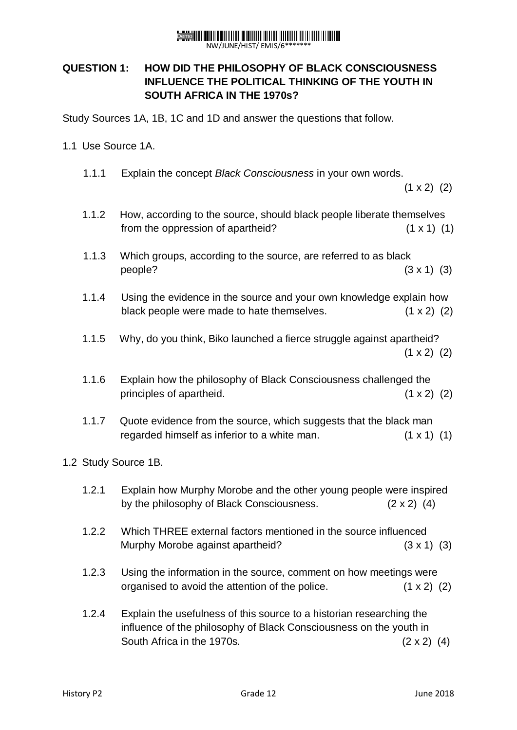## Demo **Hellin Hellin Hellin Fill Hellin Hell**

NW/JUNE/HIST/ EMIS/6\*\*\*\*\*\*\*

### **QUESTION 1: HOW DID THE PHILOSOPHY OF BLACK CONSCIOUSNESS INFLUENCE THE POLITICAL THINKING OF THE YOUTH IN SOUTH AFRICA IN THE 1970s?**

Study Sources 1A, 1B, 1C and 1D and answer the questions that follow.

- 1.1 Use Source 1A.
	- 1.1.1 Explain the concept *Black Consciousness* in your own words.

 $(1 \times 2)$  (2)

- 1.1.2 How, according to the source, should black people liberate themselves from the oppression of apartheid?  $(1 \times 1)$  (1)
- 1.1.3 Which groups, according to the source, are referred to as black  $people?$  (3 x 1) (3)
- 1.1.4 Using the evidence in the source and your own knowledge explain how black people were made to hate themselves. (1 x 2) (2)
- 1.1.5 Why, do you think, Biko launched a fierce struggle against apartheid?  $(1 \times 2)$  (2)
- 1.1.6 Explain how the philosophy of Black Consciousness challenged the principles of apartheid. (1 x 2) (2)
- 1.1.7 Quote evidence from the source, which suggests that the black man regarded himself as inferior to a white man.  $(1 \times 1)$  (1)
- 1.2 Study Source 1B.
	- 1.2.1 Explain how Murphy Morobe and the other young people were inspired by the philosophy of Black Consciousness.  $(2 \times 2)$  (4)
	- 1.2.2 Which THREE external factors mentioned in the source influenced Murphy Morobe against apartheid? (3 x 1) (3)
	- 1.2.3 Using the information in the source, comment on how meetings were organised to avoid the attention of the police.  $(1 \times 2)$  (2)
	- 1.2.4 Explain the usefulness of this source to a historian researching the influence of the philosophy of Black Consciousness on the youth in South Africa in the 1970s.  $(2 \times 2)$  (4)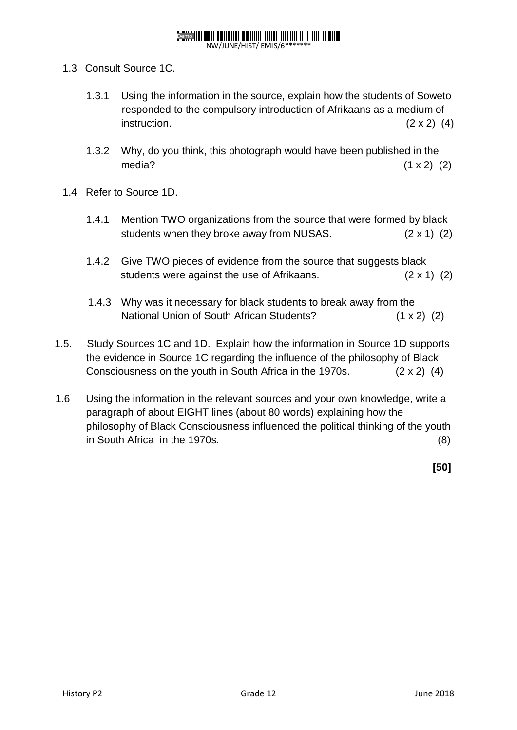## Demo **Heilie Heilie Heiliger der Schweizer**

NW/JUNE/HIST/ EMIS/6\*\*\*\*\*\*\*

- 1.3 Consult Source 1C.
	- 1.3.1 Using the information in the source, explain how the students of Soweto responded to the compulsory introduction of Afrikaans as a medium of instruction.  $(2 \times 2)$  (4)
	- 1.3.2 Why, do you think, this photograph would have been published in the media?  $(1 \times 2)$   $(2)$
- 1.4 Refer to Source 1D.
	- 1.4.1 Mention TWO organizations from the source that were formed by black students when they broke away from NUSAS. (2 x 1) (2)
	- 1.4.2 Give TWO pieces of evidence from the source that suggests black students were against the use of Afrikaans. (2 x 1) (2)
	- 1.4.3 Why was it necessary for black students to break away from the National Union of South African Students? (1 x 2) (2)
- 1.5. Study Sources 1C and 1D. Explain how the information in Source 1D supports the evidence in Source 1C regarding the influence of the philosophy of Black Consciousness on the youth in South Africa in the 1970s. (2 x 2) (4)
- 1.6 Using the information in the relevant sources and your own knowledge, write a paragraph of about EIGHT lines (about 80 words) explaining how the philosophy of Black Consciousness influenced the political thinking of the youth in South Africa in the 1970s. (8)

**[50]**